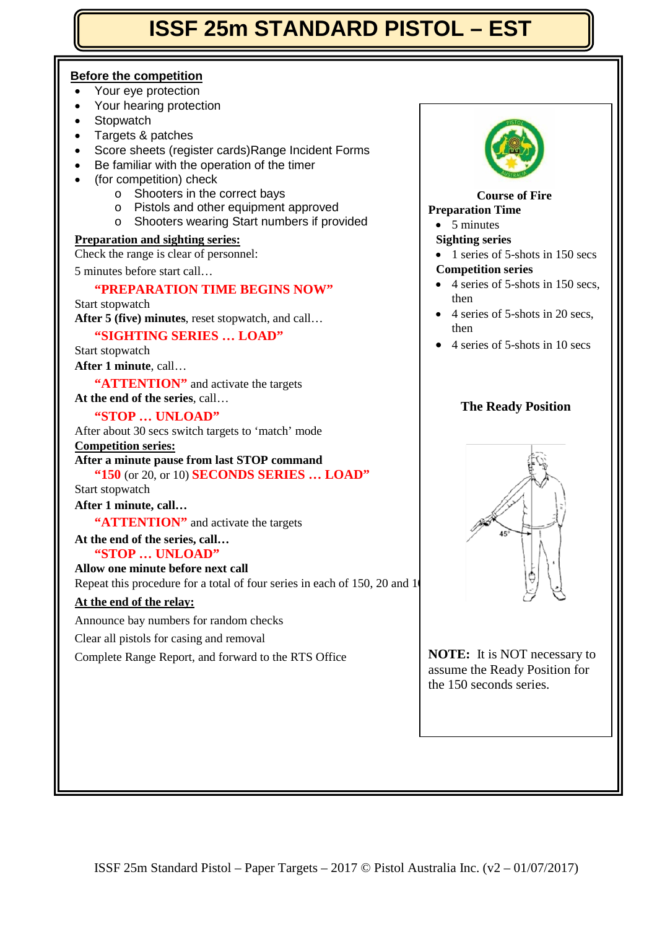# **ISSF 25m STANDARD PISTOL – EST**

## **Before the competition**

- Your eye protection
- Your hearing protection
- **Stopwatch**
- Targets & patches
- Score sheets (register cards)Range Incident Forms
- Be familiar with the operation of the timer
- (for competition) check
	- o Shooters in the correct bays
	- o Pistols and other equipment approved
	- o Shooters wearing Start numbers if provided

## **Preparation and sighting series:**

Check the range is clear of personnel:

5 minutes before start call…

## **"PREPARATION TIME BEGINS NOW"**

Start stopwatch **After 5 (five) minutes**, reset stopwatch, and call…

## **"SIGHTING SERIES … LOAD"**

Start stopwatch

**After 1 minute**, call…

"**ATTENTION**" and activate the targets

**At the end of the series**, call…

#### **"STOP … UNLOAD"**

After about 30 secs switch targets to 'match' mode

**Competition series:**

## **After a minute pause from last STOP command**

**"150** (or 20, or 10) **SECONDS SERIES … LOAD"**  Start stopwatch

## **After 1 minute, call…**

**"ATTENTION"** and activate the targets

## **At the end of the series, call…**

**"STOP … UNLOAD" Allow one minute before next call**

Repeat this procedure for a total of four series in each of  $150$ ,  $20$  and  $10$ 

## **At the end of the relay:**

Announce bay numbers for random checks

Clear all pistols for casing and removal

Complete Range Report, and forward to the RTS Office



## **Course of Fire**

## **Preparation Time**

• 5 minutes

### **Sighting series**

- 1 series of 5-shots in 150 secs **Competition series**
- 4 series of 5-shots in 150 secs, then
- 4 series of 5-shots in 20 secs. then
- 4 series of 5-shots in 10 secs

## **The Ready Position**



**NOTE:** It is NOT necessary to assume the Ready Position for the 150 seconds series.